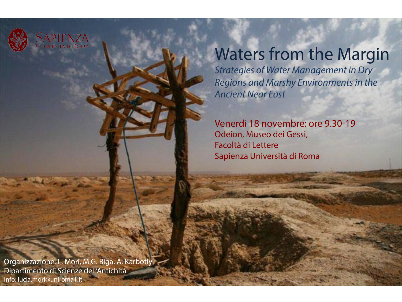

Università di Roma

## Waters from the Margin

*Strategies of Water Management in Dry Regions and Marshy Environments in the Ancient Near East* 

Venerdì 18 novembre: ore 9.30-19 Odeion, Museo dei Gessi, Facoltà di Lettere Sapienza Università di Roma

Organizzazione: L. Mori, M.G. Biga, A. Karbotly Dipartimento di Scienze dell'Antichità Info: lucia.mori@uniroma1.it